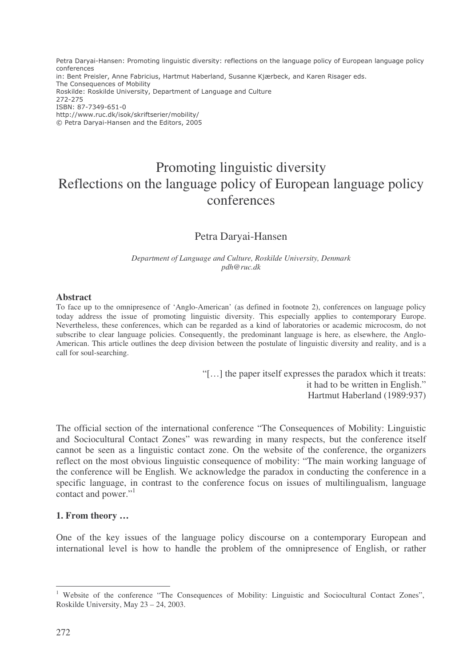Petra Daryai-Hansen: Promoting linguistic diversity: reflections on the language policy of European language policy conferences in: Bent Preisler, Anne Fabricius, Hartmut Haberland, Susanne Kjærbeck, and Karen Risager eds. The Consequences of Mobility Roskilde: Roskilde University, Department of Language and Culture 272-275 ISBN: 87-7349-651-0 http://www.ruc.dk/isok/skriftserier/mobility/ © Petra Daryai-Hansen and the Editors, 2005

# Promoting linguistic diversity Reflections on the language policy of European language policy conferences

## Petra Daryai-Hansen

*Department of Language and Culture, Roskilde University, Denmark pdh@ruc.dk*

#### **Abstract**

To face up to the omnipresence of 'Anglo-American' (as defined in footnote 2), conferences on language policy today address the issue of promoting linguistic diversity. This especially applies to contemporary Europe. Nevertheless, these conferences, which can be regarded as a kind of laboratories or academic microcosm, do not subscribe to clear language policies. Consequently, the predominant language is here, as elsewhere, the Anglo-American. This article outlines the deep division between the postulate of linguistic diversity and reality, and is a call for soul-searching.

> "[…] the paper itself expresses the paradox which it treats: it had to be written in English." Hartmut Haberland (1989:937)

The official section of the international conference "The Consequences of Mobility: Linguistic and Sociocultural Contact Zones" was rewarding in many respects, but the conference itself cannot be seen as a linguistic contact zone. On the website of the conference, the organizers reflect on the most obvious linguistic consequence of mobility: "The main working language of the conference will be English. We acknowledge the paradox in conducting the conference in a specific language, in contrast to the conference focus on issues of multilingualism, language contact and power."<sup>1</sup>

#### **1. From theory …**

One of the key issues of the language policy discourse on a contemporary European and international level is how to handle the problem of the omnipresence of English, or rather

<sup>&</sup>lt;sup>1</sup> Website of the conference "The Consequences of Mobility: Linguistic and Sociocultural Contact Zones", Roskilde University, May 23 – 24, 2003.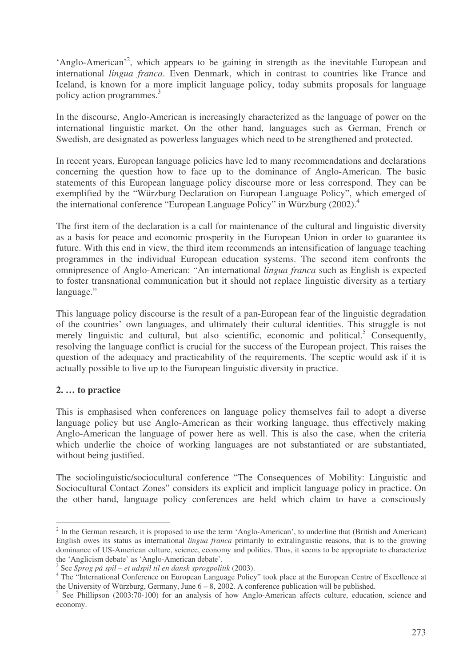'Anglo-American'<sup>2</sup>, which appears to be gaining in strength as the inevitable European and international *lingua franca*. Even Denmark, which in contrast to countries like France and Iceland, is known for a more implicit language policy, today submits proposals for language policy action programmes. 3

In the discourse, Anglo-American is increasingly characterized as the language of power on the international linguistic market. On the other hand, languages such as German, French or Swedish, are designated as powerless languages which need to be strengthened and protected.

In recent years, European language policies have led to many recommendations and declarations concerning the question how to face up to the dominance of Anglo-American. The basic statements of this European language policy discourse more or less correspond. They can be exemplified by the "Würzburg Declaration on European Language Policy", which emerged of the international conference "European Language Policy" in Würzburg (2002). 4

The first item of the declaration is a call for maintenance of the cultural and linguistic diversity as a basis for peace and economic prosperity in the European Union in order to guarantee its future. With this end in view, the third item recommends an intensification of language teaching programmes in the individual European education systems. The second item confronts the omnipresence of Anglo-American: "An international *lingua franca* such as English is expected to foster transnational communication but it should not replace linguistic diversity as a tertiary language."

This language policy discourse is the result of a pan-European fear of the linguistic degradation of the countries' own languages, and ultimately their cultural identities. This struggle is not merely linguistic and cultural, but also scientific, economic and political.<sup>5</sup> Consequently, resolving the language conflict is crucial for the success of the European project. This raises the question of the adequacy and practicability of the requirements. The sceptic would ask if it is actually possible to live up to the European linguistic diversity in practice.

## **2. … to practice**

This is emphasised when conferences on language policy themselves fail to adopt a diverse language policy but use Anglo-American as their working language, thus effectively making Anglo-American the language of power here as well. This is also the case, when the criteria which underlie the choice of working languages are not substantiated or are substantiated, without being justified.

The sociolinguistic/sociocultural conference "The Consequences of Mobility: Linguistic and Sociocultural Contact Zones" considers its explicit and implicit language policy in practice. On the other hand, language policy conferences are held which claim to have a consciously

 $2$  In the German research, it is proposed to use the term 'Anglo-American', to underline that (British and American) English owes its status as international *lingua franca* primarily to extralinguistic reasons, that is to the growing dominance of US-American culture, science, economy and politics. Thus, it seems to be appropriate to characterize the 'Anglicism debate' as 'Anglo-American debate'.

<sup>3</sup> See *Sprog på spil – et udspil til en dansk sprogpolitik* (2003).

<sup>&</sup>lt;sup>4</sup> The "International Conference on European Language Policy" took place at the European Centre of Excellence at the University of Würzburg, Germany, June  $6 - 8$ , 2002. A conference publication will be published.

<sup>&</sup>lt;sup>5</sup> See Phillipson (2003:70-100) for an analysis of how Anglo-American affects culture, education, science and economy.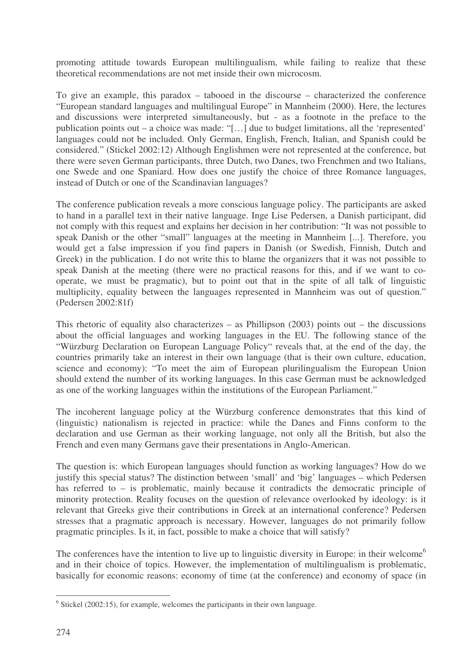promoting attitude towards European multilingualism, while failing to realize that these theoretical recommendations are not met inside their own microcosm.

To give an example, this paradox – tabooed in the discourse – characterized the conference "European standard languages and multilingual Europe" in Mannheim (2000). Here, the lectures and discussions were interpreted simultaneously, but - as a footnote in the preface to the publication points out – a choice was made: "[…] due to budget limitations, all the 'represented' languages could not be included. Only German, English, French, Italian, and Spanish could be considered." (Stickel 2002:12) Although Englishmen were not represented at the conference, but there were seven German participants, three Dutch, two Danes, two Frenchmen and two Italians, one Swede and one Spaniard. How does one justify the choice of three Romance languages, instead of Dutch or one of the Scandinavian languages?

The conference publication reveals a more conscious language policy. The participants are asked to hand in a parallel text in their native language. Inge Lise Pedersen, a Danish participant, did not comply with this request and explains her decision in her contribution: "It was not possible to speak Danish or the other "small" languages at the meeting in Mannheim [...]. Therefore, you would get a false impression if you find papers in Danish (or Swedish, Finnish, Dutch and Greek) in the publication. I do not write this to blame the organizers that it was not possible to speak Danish at the meeting (there were no practical reasons for this, and if we want to cooperate, we must be pragmatic), but to point out that in the spite of all talk of linguistic multiplicity, equality between the languages represented in Mannheim was out of question." (Pedersen 2002:81f)

This rhetoric of equality also characterizes – as Phillipson (2003) points out – the discussions about the official languages and working languages in the EU. The following stance of the "Würzburg Declaration on European Language Policy" reveals that, at the end of the day, the countries primarily take an interest in their own language (that is their own culture, education, science and economy): "To meet the aim of European plurilingualism the European Union should extend the number of its working languages. In this case German must be acknowledged as one of the working languages within the institutions of the European Parliament."

The incoherent language policy at the Würzburg conference demonstrates that this kind of (linguistic) nationalism is rejected in practice: while the Danes and Finns conform to the declaration and use German as their working language, not only all the British, but also the French and even many Germans gave their presentations in Anglo-American.

The question is: which European languages should function as working languages? How do we justify this special status? The distinction between 'small' and 'big' languages – which Pedersen has referred to – is problematic, mainly because it contradicts the democratic principle of minority protection. Reality focuses on the question of relevance overlooked by ideology: is it relevant that Greeks give their contributions in Greek at an international conference? Pedersen stresses that a pragmatic approach is necessary. However, languages do not primarily follow pragmatic principles. Is it, in fact, possible to make a choice that will satisfy?

The conferences have the intention to live up to linguistic diversity in Europe: in their welcome<sup>6</sup> and in their choice of topics. However, the implementation of multilingualism is problematic, basically for economic reasons: economy of time (at the conference) and economy of space (in

 $6$  Stickel (2002:15), for example, welcomes the participants in their own language.